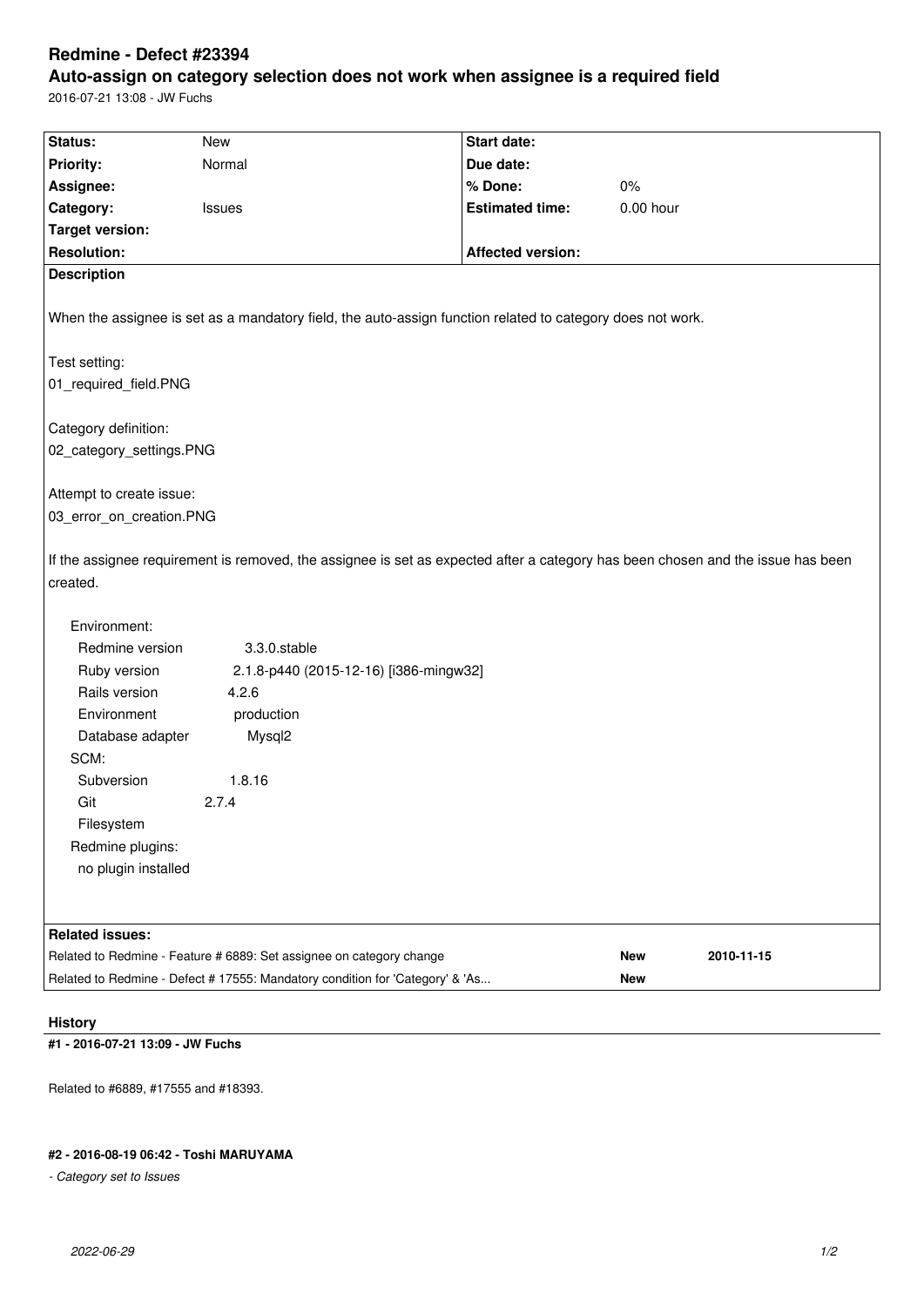## **Redmine - Defect #23394**

# **Auto-assign on category selection does not work when assignee is a required field**

2016-07-21 13:08 - JW Fuchs

| Status:                                      | <b>New</b>                                                                                                                      | Start date:              |                      |            |  |
|----------------------------------------------|---------------------------------------------------------------------------------------------------------------------------------|--------------------------|----------------------|------------|--|
| <b>Priority:</b>                             | Normal                                                                                                                          | Due date:                |                      |            |  |
|                                              |                                                                                                                                 | % Done:                  |                      |            |  |
| Assignee:                                    |                                                                                                                                 | <b>Estimated time:</b>   | $0\%$<br>$0.00$ hour |            |  |
| Category:                                    | Issues                                                                                                                          |                          |                      |            |  |
| <b>Target version:</b><br><b>Resolution:</b> |                                                                                                                                 |                          |                      |            |  |
|                                              |                                                                                                                                 | <b>Affected version:</b> |                      |            |  |
| <b>Description</b>                           |                                                                                                                                 |                          |                      |            |  |
|                                              | When the assignee is set as a mandatory field, the auto-assign function related to category does not work.                      |                          |                      |            |  |
| Test setting:                                |                                                                                                                                 |                          |                      |            |  |
| 01_required_field.PNG                        |                                                                                                                                 |                          |                      |            |  |
|                                              |                                                                                                                                 |                          |                      |            |  |
| Category definition:                         |                                                                                                                                 |                          |                      |            |  |
| 02_category_settings.PNG                     |                                                                                                                                 |                          |                      |            |  |
|                                              |                                                                                                                                 |                          |                      |            |  |
| Attempt to create issue:                     |                                                                                                                                 |                          |                      |            |  |
| 03_error_on_creation.PNG                     |                                                                                                                                 |                          |                      |            |  |
| created.                                     | If the assignee requirement is removed, the assignee is set as expected after a category has been chosen and the issue has been |                          |                      |            |  |
| Environment:                                 |                                                                                                                                 |                          |                      |            |  |
| Redmine version                              | 3.3.0.stable                                                                                                                    |                          |                      |            |  |
| Ruby version                                 | 2.1.8-p440 (2015-12-16) [i386-mingw32]                                                                                          |                          |                      |            |  |
| Rails version                                | 4.2.6                                                                                                                           |                          |                      |            |  |
| Environment                                  | production                                                                                                                      |                          |                      |            |  |
| Database adapter                             | Mysql2                                                                                                                          |                          |                      |            |  |
| SCM:                                         |                                                                                                                                 |                          |                      |            |  |
| Subversion                                   | 1.8.16                                                                                                                          |                          |                      |            |  |
| Git                                          | 2.7.4                                                                                                                           |                          |                      |            |  |
| Filesystem                                   |                                                                                                                                 |                          |                      |            |  |
| Redmine plugins:                             |                                                                                                                                 |                          |                      |            |  |
| no plugin installed                          |                                                                                                                                 |                          |                      |            |  |
|                                              |                                                                                                                                 |                          |                      |            |  |
| <b>Related issues:</b>                       |                                                                                                                                 |                          |                      |            |  |
|                                              | Related to Redmine - Feature # 6889: Set assignee on category change                                                            |                          | New                  | 2010-11-15 |  |
|                                              | Related to Redmine - Defect # 17555: Mandatory condition for 'Category' & 'As                                                   |                          | New                  |            |  |
|                                              |                                                                                                                                 |                          |                      |            |  |

#### **History**

### **#1 - 2016-07-21 13:09 - JW Fuchs**

Related to #6889, #17555 and #18393.

#### **#2 - 2016-08-19 06:42 - Toshi MARUYAMA**

*- Category set to Issues*